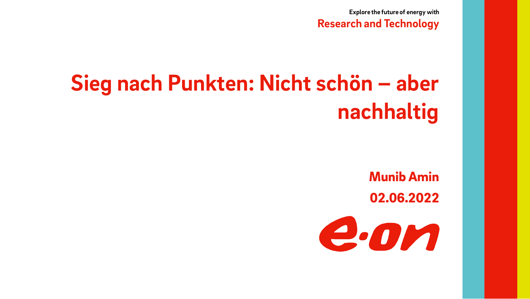**Explore the future of energy with**

**Research and Technology**

# **Sieg nach Punkten: Nicht schön – aber nachhaltig**

Munib Amin 02.06.2022

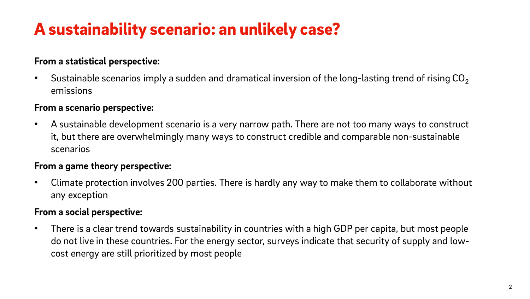### A sustainability scenario: an unlikely case?

#### **From a statistical perspective:**

Sustainable scenarios imply a sudden and dramatical inversion of the long-lasting trend of rising  $CO<sub>2</sub>$ emissions

#### **From a scenario perspective:**

• A sustainable development scenario is a very narrow path. There are not too many ways to construct it, but there are overwhelmingly many ways to construct credible and comparable non-sustainable scenarios

#### **From a game theory perspective:**

• Climate protection involves 200 parties. There is hardly any way to make them to collaborate without any exception

#### **From a social perspective:**

• There is a clear trend towards sustainability in countries with a high GDP per capita, but most people do not live in these countries. For the energy sector, surveys indicate that security of supply and lowcost energy are still prioritized by most people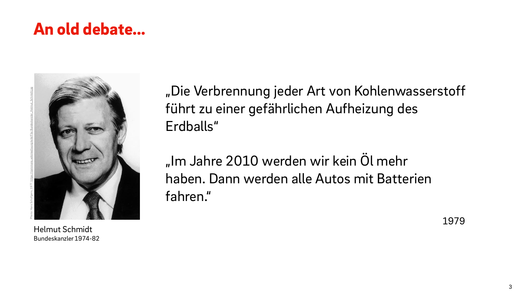### An old debate…



Helmut Schmidt Bundeskanzler 1974-82

"Die Verbrennung jeder Art von Kohlenwasserstoff führt zu einer gefährlichen Aufheizung des Erdballs"

"Im Jahre 2010 werden wir kein Öl mehr haben. Dann werden alle Autos mit Batterien fahren."

1979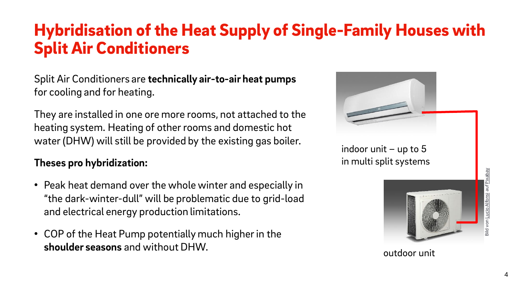### Hybridisation of the Heat Supply of Single-Family Houses with Split Air Conditioners

Split Air Conditioners are **technically air-to-air heat pumps** for cooling and for heating.

They are installed in one ore more rooms, not attached to the heating system. Heating of other rooms and domestic hot water (DHW) will still be provided by the existing gas boiler.

### **Theses pro hybridization:**

- Peak heat demand over the whole winter and especially in "the dark-winter-dull" will be problematic due to grid-load and electrical energy production limitations.
- COP of the Heat Pump potentially much higher in the **shoulder seasons** and without DHW.



indoor unit  $-$  up to 5 in multi split systems



outdoor unit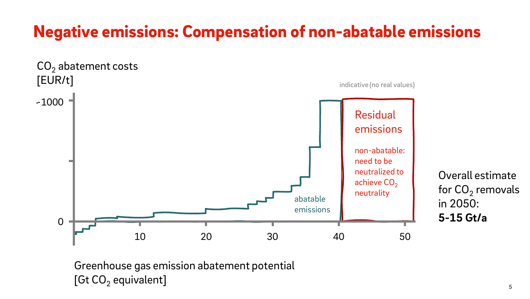### Negative emissions: Compensation of non-abatable emissions



Overall estimate for CO $_{\rm 2}$  removals in 2050: **5-15 Gt/a**

Greenhouse gas emission abatement potential [Gt CO $_2$  equivalent]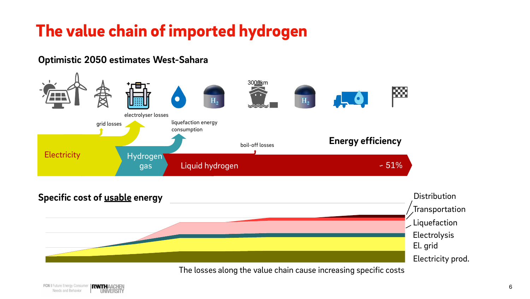### The value chain of imported hydrogen

#### **Optimistic 2050 estimates West-Sahara**





The losses along the value chain cause increasing specific costs